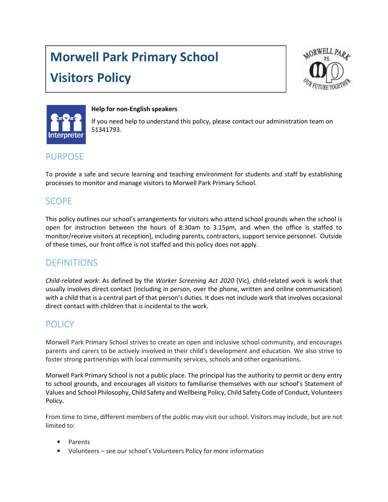# Morwell Park Primary School

## Visitors Policy





#### Help for non-English speakers

If you need help to understand this policy, please contact our administration team on 51341793.

### PURPOSE

To provide a safe and secure learning and teaching environment for students and staff by establishing processes to monitor and manage visitors to Morwell Park Primary School.

### SCOPE

This policy outlines our school's arrangements for visitors who attend school grounds when the school is open for instruction between the hours of 8:30am to 3.15pm, and when the office is staffed to monitor/receive visitors at reception], including parents, contractors, support service personnel. Outside of these times, our front office is not staffed and this policy does not apply.

### DEFINITIONS

Child-related work: As defined by the Worker Screening Act 2020 (Vic), child-related work is work that usually involves direct contact (including in person, over the phone, written and online communication) with a child that is a central part of that person's duties. It does not include work that involves occasional direct contact with children that is incidental to the work.

### **POLICY**

Morwell Park Primary School strives to create an open and inclusive school community, and encourages parents and carers to be actively involved in their child's development and education. We also strive to foster strong partnerships with local community services, schools and other organisations.

Morwell Park Primary School is not a public place. The principal has the authority to permit or deny entry to school grounds, and encourages all visitors to familiarise themselves with our school's Statement of Values and School Philosophy, Child Safety and Wellbeing Policy, Child Safety Code of Conduct, Volunteers Policy.

From time to time, different members of the public may visit our school. Visitors may include, but are not limited to:

- **Parents**
- Volunteers see our school's Volunteers Policy for more information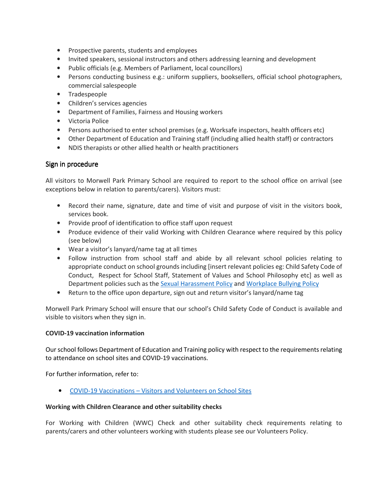- Prospective parents, students and employees
- Invited speakers, sessional instructors and others addressing learning and development
- Public officials (e.g. Members of Parliament, local councillors)
- Persons conducting business e.g.: uniform suppliers, booksellers, official school photographers, commercial salespeople
- Tradespeople
- Children's services agencies
- Department of Families, Fairness and Housing workers
- Victoria Police
- Persons authorised to enter school premises (e.g. Worksafe inspectors, health officers etc)
- Other Department of Education and Training staff (including allied health staff) or contractors
- NDIS therapists or other allied health or health practitioners

#### Sign in procedure

All visitors to Morwell Park Primary School are required to report to the school office on arrival (see exceptions below in relation to parents/carers). Visitors must:

- Record their name, signature, date and time of visit and purpose of visit in the visitors book, services book.
- Provide proof of identification to office staff upon request
- Produce evidence of their valid Working with Children Clearance where required by this policy (see below)
- Wear a visitor's lanyard/name tag at all times
- Follow instruction from school staff and abide by all relevant school policies relating to appropriate conduct on school grounds including [insert relevant policies eg: Child Safety Code of Conduct, Respect for School Staff, Statement of Values and School Philosophy etc] as well as Department policies such as the Sexual Harassment Policy and Workplace Bullying Policy
- Return to the office upon departure, sign out and return visitor's lanyard/name tag

Morwell Park Primary School will ensure that our school's Child Safety Code of Conduct is available and visible to visitors when they sign in.

#### COVID-19 vaccination information

Our school follows Department of Education and Training policy with respect to the requirements relating to attendance on school sites and COVID-19 vaccinations.

For further information, refer to:

• COVID-19 Vaccinations – Visitors and Volunteers on School Sites

#### Working with Children Clearance and other suitability checks

For Working with Children (WWC) Check and other suitability check requirements relating to parents/carers and other volunteers working with students please see our Volunteers Policy.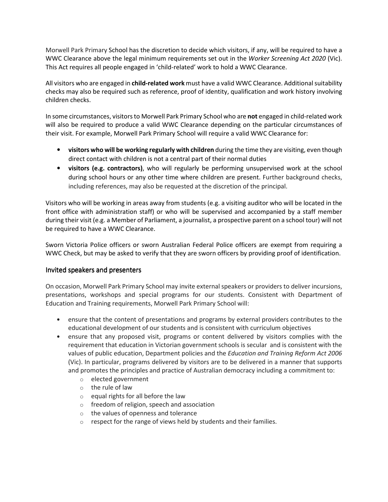Morwell Park Primary School has the discretion to decide which visitors, if any, will be required to have a WWC Clearance above the legal minimum requirements set out in the Worker Screening Act 2020 (Vic). This Act requires all people engaged in 'child-related' work to hold a WWC Clearance.

All visitors who are engaged in child-related work must have a valid WWC Clearance. Additional suitability checks may also be required such as reference, proof of identity, qualification and work history involving children checks.

In some circumstances, visitors to Morwell Park Primary School who are not engaged in child-related work will also be required to produce a valid WWC Clearance depending on the particular circumstances of their visit. For example, Morwell Park Primary School will require a valid WWC Clearance for:

- visitors who will be working regularly with children during the time they are visiting, even though direct contact with children is not a central part of their normal duties
- visitors (e.g. contractors), who will regularly be performing unsupervised work at the school during school hours or any other time where children are present. Further background checks, including references, may also be requested at the discretion of the principal.

Visitors who will be working in areas away from students (e.g. a visiting auditor who will be located in the front office with administration staff) or who will be supervised and accompanied by a staff member during their visit (e.g. a Member of Parliament, a journalist, a prospective parent on a school tour) will not be required to have a WWC Clearance.

Sworn Victoria Police officers or sworn Australian Federal Police officers are exempt from requiring a WWC Check, but may be asked to verify that they are sworn officers by providing proof of identification.

#### Invited speakers and presenters

On occasion, Morwell Park Primary School may invite external speakers or providers to deliver incursions, presentations, workshops and special programs for our students. Consistent with Department of Education and Training requirements, Morwell Park Primary School will:

- ensure that the content of presentations and programs by external providers contributes to the educational development of our students and is consistent with curriculum objectives
- ensure that any proposed visit, programs or content delivered by visitors complies with the requirement that education in Victorian government schools is secular and is consistent with the values of public education, Department policies and the Education and Training Reform Act 2006 (Vic). In particular, programs delivered by visitors are to be delivered in a manner that supports and promotes the principles and practice of Australian democracy including a commitment to:
	- o elected government
	- o the rule of law
	- $\circ$  equal rights for all before the law
	- o freedom of religion, speech and association
	- o the values of openness and tolerance
	- o respect for the range of views held by students and their families.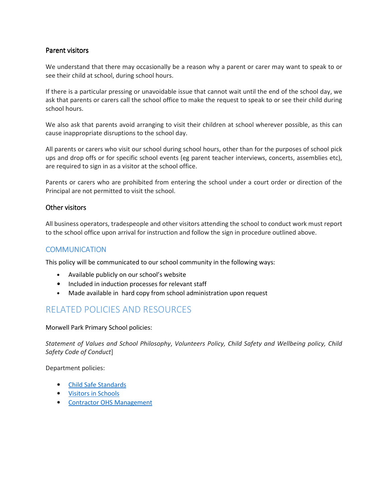#### Parent visitors

We understand that there may occasionally be a reason why a parent or carer may want to speak to or see their child at school, during school hours.

If there is a particular pressing or unavoidable issue that cannot wait until the end of the school day, we ask that parents or carers call the school office to make the request to speak to or see their child during school hours.

We also ask that parents avoid arranging to visit their children at school wherever possible, as this can cause inappropriate disruptions to the school day.

All parents or carers who visit our school during school hours, other than for the purposes of school pick ups and drop offs or for specific school events (eg parent teacher interviews, concerts, assemblies etc), are required to sign in as a visitor at the school office.

Parents or carers who are prohibited from entering the school under a court order or direction of the Principal are not permitted to visit the school.

#### Other visitors

All business operators, tradespeople and other visitors attending the school to conduct work must report to the school office upon arrival for instruction and follow the sign in procedure outlined above.

#### **COMMUNICATION**

This policy will be communicated to our school community in the following ways:

- Available publicly on our school's website
- Included in induction processes for relevant staff
- Made available in hard copy from school administration upon request

### RELATED POLICIES AND RESOURCES

Morwell Park Primary School policies:

Statement of Values and School Philosophy, Volunteers Policy, Child Safety and Wellbeing policy, Child Safety Code of Conduct]

Department policies:

- Child Safe Standards
- Visitors in Schools
- Contractor OHS Management